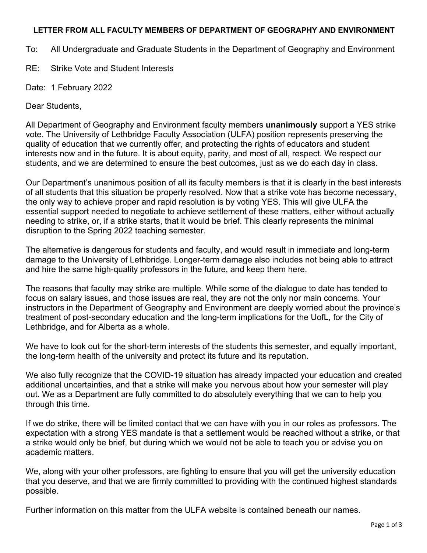## **LETTER FROM ALL FACULTY MEMBERS OF DEPARTMENT OF GEOGRAPHY AND ENVIRONMENT**

To: All Undergraduate and Graduate Students in the Department of Geography and Environment

RE: Strike Vote and Student Interests

Date: 1 February 2022

Dear Students,

All Department of Geography and Environment faculty members **unanimously** support a YES strike vote. The University of Lethbridge Faculty Association (ULFA) position represents preserving the quality of education that we currently offer, and protecting the rights of educators and student interests now and in the future. It is about equity, parity, and most of all, respect. We respect our students, and we are determined to ensure the best outcomes, just as we do each day in class.

Our Department's unanimous position of all its faculty members is that it is clearly in the best interests of all students that this situation be properly resolved. Now that a strike vote has become necessary, the only way to achieve proper and rapid resolution is by voting YES. This will give ULFA the essential support needed to negotiate to achieve settlement of these matters, either without actually needing to strike, or, if a strike starts, that it would be brief. This clearly represents the minimal disruption to the Spring 2022 teaching semester.

The alternative is dangerous for students and faculty, and would result in immediate and long-term damage to the University of Lethbridge. Longer-term damage also includes not being able to attract and hire the same high-quality professors in the future, and keep them here.

The reasons that faculty may strike are multiple. While some of the dialogue to date has tended to focus on salary issues, and those issues are real, they are not the only nor main concerns. Your instructors in the Department of Geography and Environment are deeply worried about the province's treatment of post-secondary education and the long-term implications for the UofL, for the City of Lethbridge, and for Alberta as a whole.

We have to look out for the short-term interests of the students this semester, and equally important, the long-term health of the university and protect its future and its reputation.

We also fully recognize that the COVID-19 situation has already impacted your education and created additional uncertainties, and that a strike will make you nervous about how your semester will play out. We as a Department are fully committed to do absolutely everything that we can to help you through this time.

If we do strike, there will be limited contact that we can have with you in our roles as professors. The expectation with a strong YES mandate is that a settlement would be reached without a strike, or that a strike would only be brief, but during which we would not be able to teach you or advise you on academic matters.

We, along with your other professors, are fighting to ensure that you will get the university education that you deserve, and that we are firmly committed to providing with the continued highest standards possible.

Further information on this matter from the ULFA website is contained beneath our names.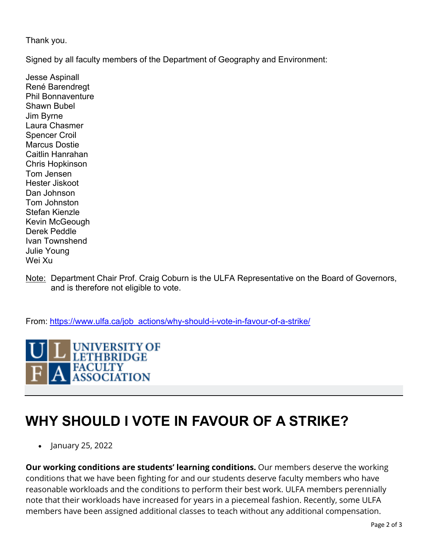Thank you.

Signed by all faculty members of the Department of Geography and Environment:

Jesse Aspinall René Barendregt Phil Bonnaventure Shawn Bubel Jim Byrne Laura Chasmer Spencer Croil Marcus Dostie Caitlin Hanrahan Chris Hopkinson Tom Jensen Hester Jiskoot Dan Johnson Tom Johnston Stefan Kienzle Kevin McGeough Derek Peddle Ivan Townshend Julie Young Wei Xu

Note: Department Chair Prof. Craig Coburn is the ULFA Representative on the Board of Governors, and is therefore not eligible to vote.

From: https://www.ulfa.ca/job\_actions/why-should-i-vote-in-favour-of-a-strike/

UNIVERSITY OF **LETHBRIDGE FACULTY ASSOCIATION** 

## **WHY SHOULD I VOTE IN FAVOUR OF A STRIKE?**

• January 25, 2022

**Our working conditions are students' learning conditions.** Our members deserve the working conditions that we have been fighting for and our students deserve faculty members who have reasonable workloads and the conditions to perform their best work. ULFA members perennially note that their workloads have increased for years in a piecemeal fashion. Recently, some ULFA members have been assigned additional classes to teach without any additional compensation.